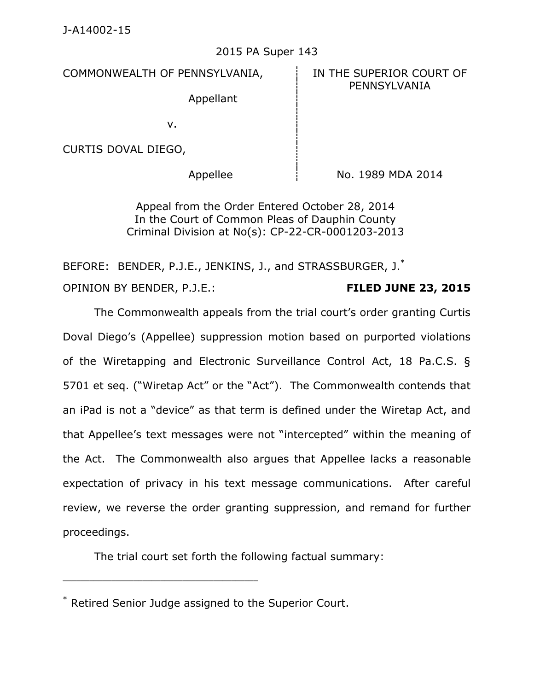## 2015 PA Super 143

COMMONWEALTH OF PENNSYLVANIA, FIN THE SUPERIOR COURT OF

PENNSYLVANIA

Appellant

v.

CURTIS DOVAL DIEGO,

Appellee  $\frac{1}{2}$  No. 1989 MDA 2014

Appeal from the Order Entered October 28, 2014 In the Court of Common Pleas of Dauphin County Criminal Division at No(s): CP-22-CR-0001203-2013

BEFORE: BENDER, P.J.E., JENKINS, J., and STRASSBURGER, J.\* OPINION BY BENDER, P.J.E.: **FILED JUNE 23, 2015**

The Commonwealth appeals from the trial court's order granting Curtis Doval Diego's (Appellee) suppression motion based on purported violations of the Wiretapping and Electronic Surveillance Control Act, 18 Pa.C.S. § 5701 et seq. ("Wiretap Act" or the "Act"). The Commonwealth contends that an iPad is not a "device" as that term is defined under the Wiretap Act, and that Appellee's text messages were not "intercepted" within the meaning of the Act. The Commonwealth also argues that Appellee lacks a reasonable expectation of privacy in his text message communications. After careful review, we reverse the order granting suppression, and remand for further proceedings.

The trial court set forth the following factual summary:

\_\_\_\_\_\_\_\_\_\_\_\_\_\_\_\_\_\_\_\_\_\_\_\_\_\_\_\_\_\_\_\_\_\_\_\_\_\_\_\_\_\_\_\_

<sup>\*</sup> Retired Senior Judge assigned to the Superior Court.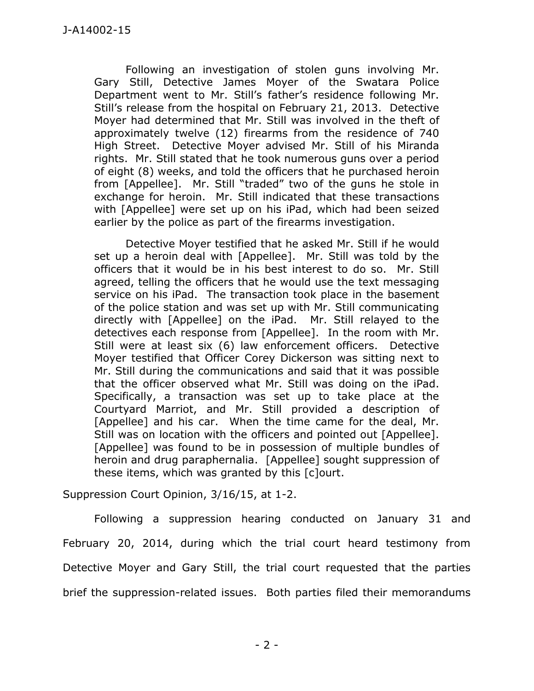Following an investigation of stolen guns involving Mr. Gary Still, Detective James Moyer of the Swatara Police Department went to Mr. Still's father's residence following Mr. Still's release from the hospital on February 21, 2013. Detective Moyer had determined that Mr. Still was involved in the theft of approximately twelve (12) firearms from the residence of 740 High Street. Detective Moyer advised Mr. Still of his Miranda rights. Mr. Still stated that he took numerous guns over a period of eight (8) weeks, and told the officers that he purchased heroin from [Appellee]. Mr. Still "traded" two of the guns he stole in exchange for heroin. Mr. Still indicated that these transactions with [Appellee] were set up on his iPad, which had been seized earlier by the police as part of the firearms investigation.

Detective Moyer testified that he asked Mr. Still if he would set up a heroin deal with [Appellee]. Mr. Still was told by the officers that it would be in his best interest to do so. Mr. Still agreed, telling the officers that he would use the text messaging service on his iPad. The transaction took place in the basement of the police station and was set up with Mr. Still communicating directly with [Appellee] on the iPad. Mr. Still relayed to the detectives each response from [Appellee]. In the room with Mr. Still were at least six (6) law enforcement officers. Detective Moyer testified that Officer Corey Dickerson was sitting next to Mr. Still during the communications and said that it was possible that the officer observed what Mr. Still was doing on the iPad. Specifically, a transaction was set up to take place at the Courtyard Marriot, and Mr. Still provided a description of [Appellee] and his car. When the time came for the deal, Mr. Still was on location with the officers and pointed out [Appellee]. [Appellee] was found to be in possession of multiple bundles of heroin and drug paraphernalia. [Appellee] sought suppression of these items, which was granted by this [c]ourt.

Suppression Court Opinion, 3/16/15, at 1-2.

Following a suppression hearing conducted on January 31 and February 20, 2014, during which the trial court heard testimony from Detective Moyer and Gary Still, the trial court requested that the parties brief the suppression-related issues. Both parties filed their memorandums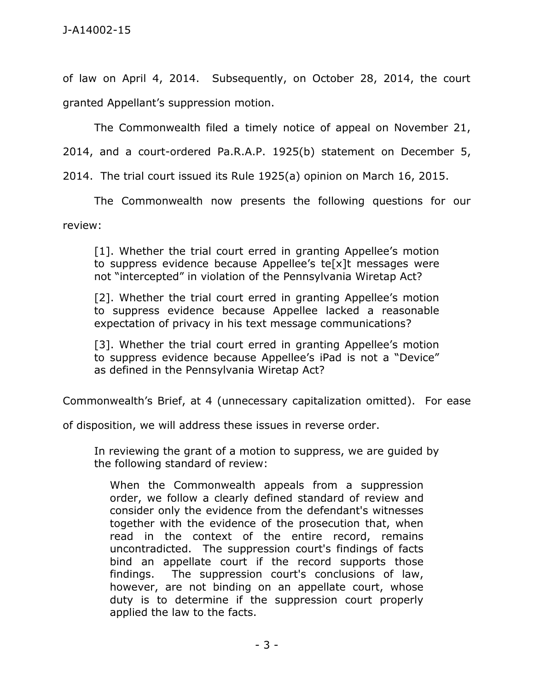of law on April 4, 2014. Subsequently, on October 28, 2014, the court granted Appellant's suppression motion.

The Commonwealth filed a timely notice of appeal on November 21,

2014, and a court-ordered Pa.R.A.P. 1925(b) statement on December 5,

2014. The trial court issued its Rule 1925(a) opinion on March 16, 2015.

The Commonwealth now presents the following questions for our

review:

[1]. Whether the trial court erred in granting Appellee's motion to suppress evidence because Appellee's te[x]t messages were not "intercepted" in violation of the Pennsylvania Wiretap Act?

[2]. Whether the trial court erred in granting Appellee's motion to suppress evidence because Appellee lacked a reasonable expectation of privacy in his text message communications?

[3]. Whether the trial court erred in granting Appellee's motion to suppress evidence because Appellee's iPad is not a "Device" as defined in the Pennsylvania Wiretap Act?

Commonwealth's Brief, at 4 (unnecessary capitalization omitted). For ease

of disposition, we will address these issues in reverse order.

In reviewing the grant of a motion to suppress, we are guided by the following standard of review:

When the Commonwealth appeals from a suppression order, we follow a clearly defined standard of review and consider only the evidence from the defendant's witnesses together with the evidence of the prosecution that, when read in the context of the entire record, remains uncontradicted. The suppression court's findings of facts bind an appellate court if the record supports those findings. The suppression court's conclusions of law, however, are not binding on an appellate court, whose duty is to determine if the suppression court properly applied the law to the facts.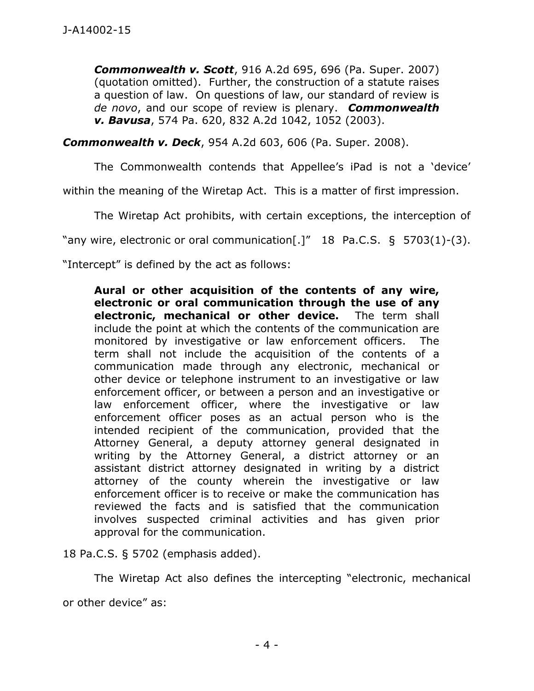*Commonwealth v. Scott*, 916 A.2d 695, 696 (Pa. Super. 2007) (quotation omitted). Further, the construction of a statute raises a question of law. On questions of law, our standard of review is *de novo*, and our scope of review is plenary. *Commonwealth v. Bavusa*, 574 Pa. 620, 832 A.2d 1042, 1052 (2003).

*Commonwealth v. Deck*, 954 A.2d 603, 606 (Pa. Super. 2008).

The Commonwealth contends that Appellee's iPad is not a 'device'

within the meaning of the Wiretap Act. This is a matter of first impression.

The Wiretap Act prohibits, with certain exceptions, the interception of

"any wire, electronic or oral communication[.]" 18 Pa.C.S. § 5703(1)-(3).

"Intercept" is defined by the act as follows:

**Aural or other acquisition of the contents of any wire, electronic or oral communication through the use of any electronic, mechanical or other device.** The term shall include the point at which the contents of the communication are monitored by investigative or law enforcement officers. The term shall not include the acquisition of the contents of a communication made through any electronic, mechanical or other device or telephone instrument to an investigative or law enforcement officer, or between a person and an investigative or law enforcement officer, where the investigative or law enforcement officer poses as an actual person who is the intended recipient of the communication, provided that the Attorney General, a deputy attorney general designated in writing by the Attorney General, a district attorney or an assistant district attorney designated in writing by a district attorney of the county wherein the investigative or law enforcement officer is to receive or make the communication has reviewed the facts and is satisfied that the communication involves suspected criminal activities and has given prior approval for the communication.

18 Pa.C.S. § 5702 (emphasis added).

The Wiretap Act also defines the intercepting "electronic, mechanical or other device" as: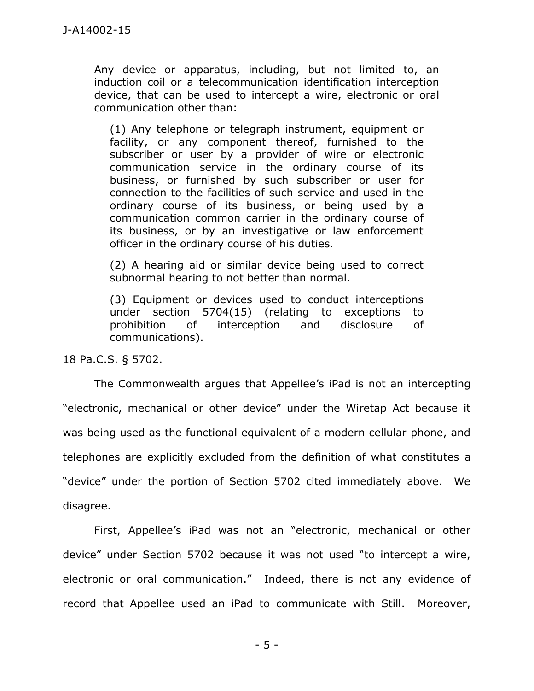Any device or apparatus, including, but not limited to, an induction coil or a telecommunication identification interception device, that can be used to intercept a wire, electronic or oral communication other than:

(1) Any telephone or telegraph instrument, equipment or facility, or any component thereof, furnished to the subscriber or user by a provider of wire or electronic communication service in the ordinary course of its business, or furnished by such subscriber or user for connection to the facilities of such service and used in the ordinary course of its business, or being used by a communication common carrier in the ordinary course of its business, or by an investigative or law enforcement officer in the ordinary course of his duties.

(2) A hearing aid or similar device being used to correct subnormal hearing to not better than normal.

(3) Equipment or devices used to conduct interceptions under section 5704(15) (relating to exceptions to prohibition of interception and disclosure of communications).

18 Pa.C.S. § 5702.

The Commonwealth argues that Appellee's iPad is not an intercepting "electronic, mechanical or other device" under the Wiretap Act because it was being used as the functional equivalent of a modern cellular phone, and telephones are explicitly excluded from the definition of what constitutes a "device" under the portion of Section 5702 cited immediately above. We disagree.

First, Appellee's iPad was not an "electronic, mechanical or other device" under Section 5702 because it was not used "to intercept a wire, electronic or oral communication." Indeed, there is not any evidence of record that Appellee used an iPad to communicate with Still. Moreover,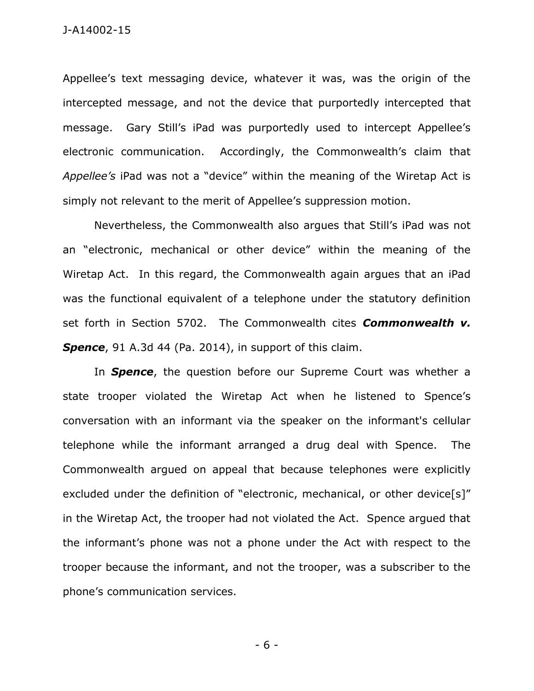Appellee's text messaging device, whatever it was, was the origin of the intercepted message, and not the device that purportedly intercepted that message. Gary Still's iPad was purportedly used to intercept Appellee's electronic communication. Accordingly, the Commonwealth's claim that *Appellee's* iPad was not a "device" within the meaning of the Wiretap Act is simply not relevant to the merit of Appellee's suppression motion.

Nevertheless, the Commonwealth also argues that Still's iPad was not an "electronic, mechanical or other device" within the meaning of the Wiretap Act. In this regard, the Commonwealth again argues that an iPad was the functional equivalent of a telephone under the statutory definition set forth in Section 5702. The Commonwealth cites *Commonwealth v. Spence*, 91 A.3d 44 (Pa. 2014), in support of this claim.

In *Spence*, the question before our Supreme Court was whether a state trooper violated the Wiretap Act when he listened to Spence's conversation with an informant via the speaker on the informant's cellular telephone while the informant arranged a drug deal with Spence. The Commonwealth argued on appeal that because telephones were explicitly excluded under the definition of "electronic, mechanical, or other device[s]" in the Wiretap Act, the trooper had not violated the Act. Spence argued that the informant's phone was not a phone under the Act with respect to the trooper because the informant, and not the trooper, was a subscriber to the phone's communication services.

- 6 -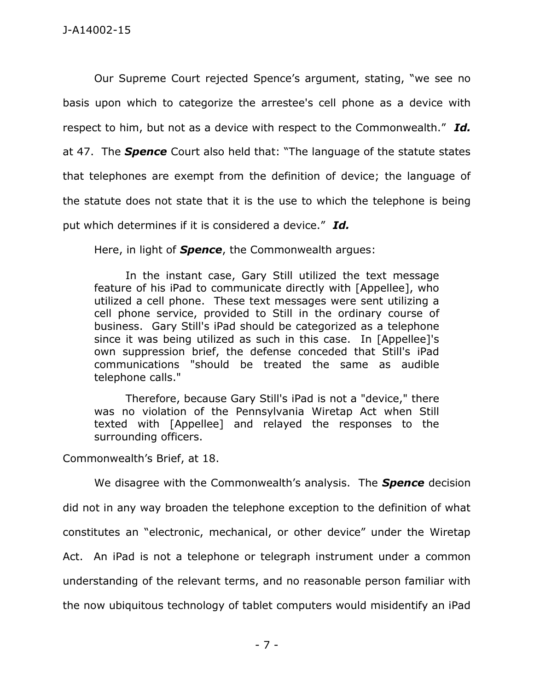Our Supreme Court rejected Spence's argument, stating, "we see no basis upon which to categorize the arrestee's cell phone as a device with respect to him, but not as a device with respect to the Commonwealth." *Id.* at 47. The *Spence* Court also held that: "The language of the statute states that telephones are exempt from the definition of device; the language of the statute does not state that it is the use to which the telephone is being put which determines if it is considered a device." *Id.*

Here, in light of *Spence*, the Commonwealth argues:

In the instant case, Gary Still utilized the text message feature of his iPad to communicate directly with [Appellee], who utilized a cell phone. These text messages were sent utilizing a cell phone service, provided to Still in the ordinary course of business. Gary Still's iPad should be categorized as a telephone since it was being utilized as such in this case. In [Appellee]'s own suppression brief, the defense conceded that Still's iPad communications "should be treated the same as audible telephone calls."

Therefore, because Gary Still's iPad is not a "device," there was no violation of the Pennsylvania Wiretap Act when Still texted with [Appellee] and relayed the responses to the surrounding officers.

Commonwealth's Brief, at 18.

We disagree with the Commonwealth's analysis. The *Spence* decision did not in any way broaden the telephone exception to the definition of what constitutes an "electronic, mechanical, or other device" under the Wiretap Act. An iPad is not a telephone or telegraph instrument under a common understanding of the relevant terms, and no reasonable person familiar with the now ubiquitous technology of tablet computers would misidentify an iPad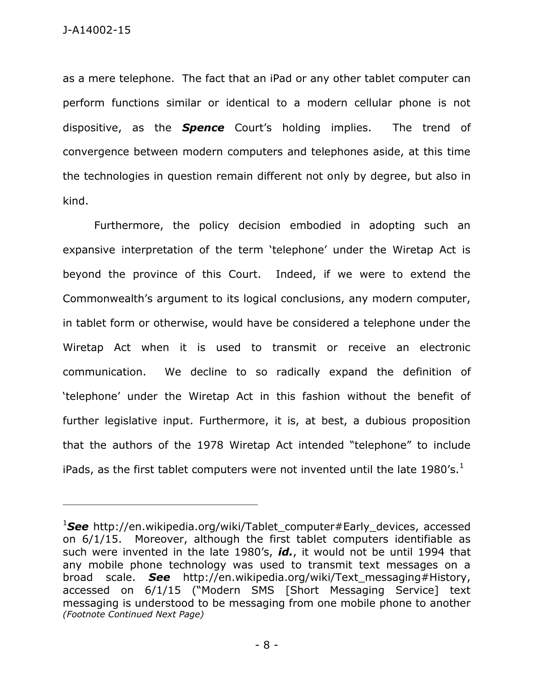as a mere telephone. The fact that an iPad or any other tablet computer can perform functions similar or identical to a modern cellular phone is not dispositive, as the *Spence* Court's holding implies. The trend of convergence between modern computers and telephones aside, at this time the technologies in question remain different not only by degree, but also in kind.

Furthermore, the policy decision embodied in adopting such an expansive interpretation of the term 'telephone' under the Wiretap Act is beyond the province of this Court. Indeed, if we were to extend the Commonwealth's argument to its logical conclusions, any modern computer, in tablet form or otherwise, would have be considered a telephone under the Wiretap Act when it is used to transmit or receive an electronic communication. We decline to so radically expand the definition of 'telephone' under the Wiretap Act in this fashion without the benefit of further legislative input. Furthermore, it is, at best, a dubious proposition that the authors of the 1978 Wiretap Act intended "telephone" to include iPads, as the first tablet computers were not invented until the late 1980's. $^1$ 

\_\_\_\_\_\_\_\_\_\_\_\_\_\_\_\_\_\_\_\_\_\_\_\_\_\_\_\_\_\_\_\_\_\_\_\_\_\_\_\_\_\_\_\_

<sup>&</sup>lt;sup>1</sup>See http://en.wikipedia.org/wiki/Tablet\_computer#Early\_devices, accessed on 6/1/15. Moreover, although the first tablet computers identifiable as such were invented in the late 1980's, *id.*, it would not be until 1994 that any mobile phone technology was used to transmit text messages on a broad scale. *See* http://en.wikipedia.org/wiki/Text\_messaging#History, accessed on 6/1/15 ("Modern SMS [Short Messaging Service] text messaging is understood to be messaging from one mobile phone to another *(Footnote Continued Next Page)*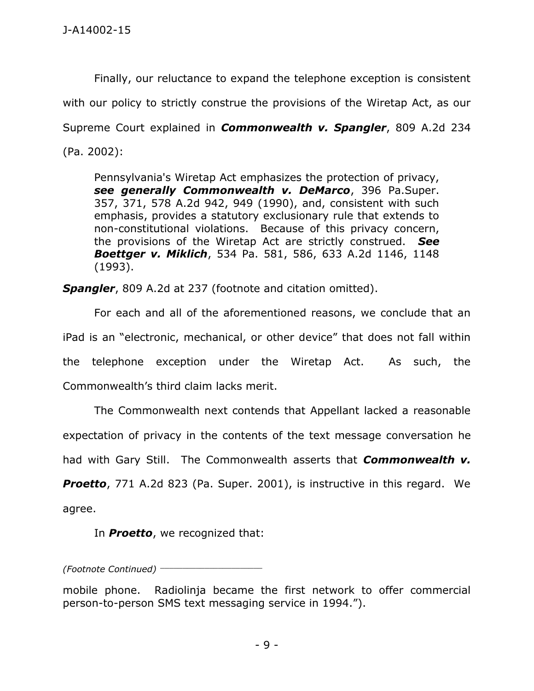Finally, our reluctance to expand the telephone exception is consistent with our policy to strictly construe the provisions of the Wiretap Act, as our Supreme Court explained in *Commonwealth v. Spangler*, 809 A.2d 234 (Pa. 2002):

Pennsylvania's Wiretap Act emphasizes the protection of privacy, *see generally Commonwealth v. DeMarco*, 396 Pa.Super. 357, 371, 578 A.2d 942, 949 (1990), and, consistent with such emphasis, provides a statutory exclusionary rule that extends to non-constitutional violations. Because of this privacy concern, the provisions of the Wiretap Act are strictly construed. *See Boettger v. Miklich*, 534 Pa. 581, 586, 633 A.2d 1146, 1148 (1993).

*Spangler*, 809 A.2d at 237 (footnote and citation omitted).

For each and all of the aforementioned reasons, we conclude that an iPad is an "electronic, mechanical, or other device" that does not fall within the telephone exception under the Wiretap Act. As such, the Commonwealth's third claim lacks merit.

The Commonwealth next contends that Appellant lacked a reasonable expectation of privacy in the contents of the text message conversation he had with Gary Still. The Commonwealth asserts that *Commonwealth v.* 

**Proetto**, 771 A.2d 823 (Pa. Super. 2001), is instructive in this regard. We agree.

In *Proetto*, we recognized that:

*(Footnote Continued)* \_\_\_\_\_\_\_\_\_\_\_\_\_\_\_\_\_\_\_\_\_\_\_

mobile phone. Radiolinja became the first network to offer commercial person-to-person SMS text messaging service in 1994.").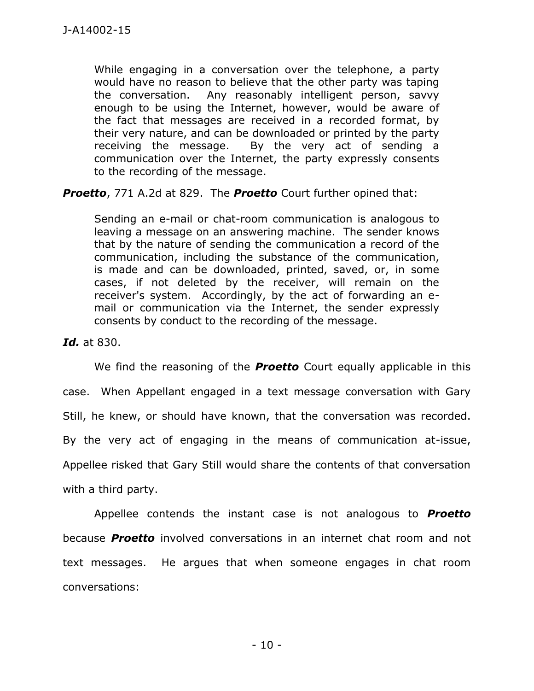While engaging in a conversation over the telephone, a party would have no reason to believe that the other party was taping the conversation. Any reasonably intelligent person, savvy enough to be using the Internet, however, would be aware of the fact that messages are received in a recorded format, by their very nature, and can be downloaded or printed by the party receiving the message. By the very act of sending a communication over the Internet, the party expressly consents to the recording of the message.

*Proetto*, 771 A.2d at 829. The *Proetto* Court further opined that:

Sending an e-mail or chat-room communication is analogous to leaving a message on an answering machine. The sender knows that by the nature of sending the communication a record of the communication, including the substance of the communication, is made and can be downloaded, printed, saved, or, in some cases, if not deleted by the receiver, will remain on the receiver's system. Accordingly, by the act of forwarding an email or communication via the Internet, the sender expressly consents by conduct to the recording of the message.

*Id.* at 830.

We find the reasoning of the *Proetto* Court equally applicable in this case. When Appellant engaged in a text message conversation with Gary Still, he knew, or should have known, that the conversation was recorded. By the very act of engaging in the means of communication at-issue, Appellee risked that Gary Still would share the contents of that conversation with a third party.

Appellee contends the instant case is not analogous to *Proetto* because *Proetto* involved conversations in an internet chat room and not text messages. He argues that when someone engages in chat room conversations: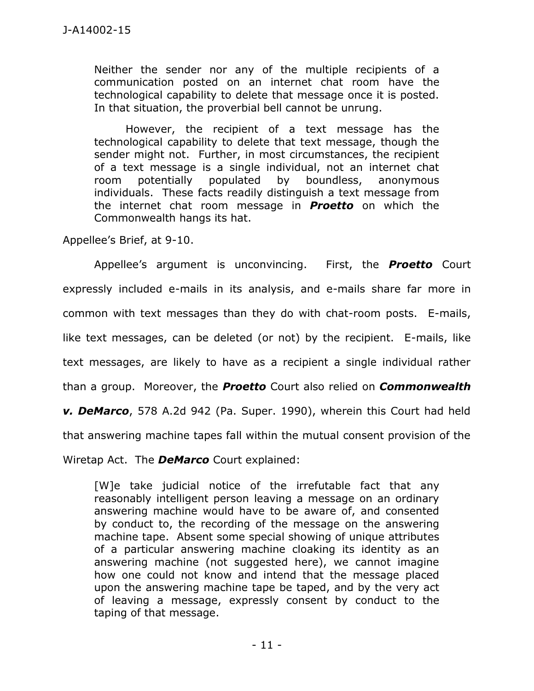Neither the sender nor any of the multiple recipients of a communication posted on an internet chat room have the technological capability to delete that message once it is posted. In that situation, the proverbial bell cannot be unrung.

However, the recipient of a text message has the technological capability to delete that text message, though the sender might not. Further, in most circumstances, the recipient of a text message is a single individual, not an internet chat room potentially populated by boundless, anonymous individuals. These facts readily distinguish a text message from the internet chat room message in *Proetto* on which the Commonwealth hangs its hat.

Appellee's Brief, at 9-10.

Appellee's argument is unconvincing. First, the *Proetto* Court expressly included e-mails in its analysis, and e-mails share far more in common with text messages than they do with chat-room posts. E-mails, like text messages, can be deleted (or not) by the recipient. E-mails, like text messages, are likely to have as a recipient a single individual rather than a group. Moreover, the *Proetto* Court also relied on *Commonwealth v. DeMarco*, 578 A.2d 942 (Pa. Super. 1990), wherein this Court had held that answering machine tapes fall within the mutual consent provision of the Wiretap Act. The *DeMarco* Court explained:

[W]e take judicial notice of the irrefutable fact that any reasonably intelligent person leaving a message on an ordinary answering machine would have to be aware of, and consented by conduct to, the recording of the message on the answering machine tape. Absent some special showing of unique attributes of a particular answering machine cloaking its identity as an answering machine (not suggested here), we cannot imagine how one could not know and intend that the message placed upon the answering machine tape be taped, and by the very act of leaving a message, expressly consent by conduct to the taping of that message.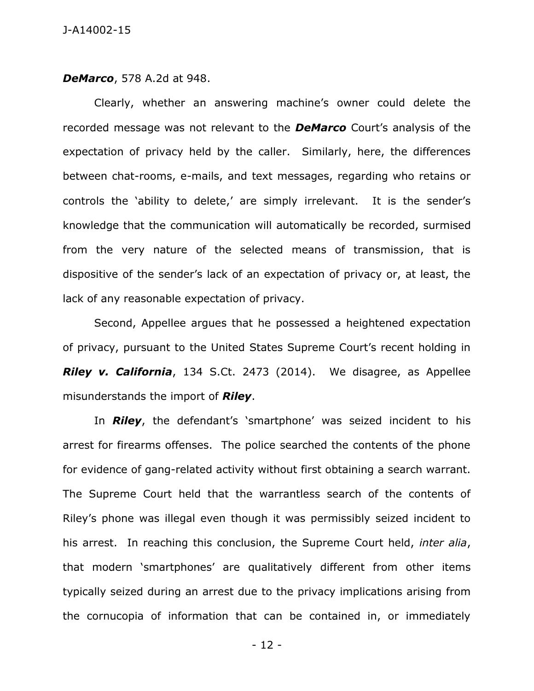*DeMarco*, 578 A.2d at 948.

Clearly, whether an answering machine's owner could delete the recorded message was not relevant to the *DeMarco* Court's analysis of the expectation of privacy held by the caller. Similarly, here, the differences between chat-rooms, e-mails, and text messages, regarding who retains or controls the 'ability to delete,' are simply irrelevant. It is the sender's knowledge that the communication will automatically be recorded, surmised from the very nature of the selected means of transmission, that is dispositive of the sender's lack of an expectation of privacy or, at least, the lack of any reasonable expectation of privacy.

Second, Appellee argues that he possessed a heightened expectation of privacy, pursuant to the United States Supreme Court's recent holding in *Riley v. California*, 134 S.Ct. 2473 (2014). We disagree, as Appellee misunderstands the import of *Riley*.

In *Riley*, the defendant's 'smartphone' was seized incident to his arrest for firearms offenses. The police searched the contents of the phone for evidence of gang-related activity without first obtaining a search warrant. The Supreme Court held that the warrantless search of the contents of Riley's phone was illegal even though it was permissibly seized incident to his arrest. In reaching this conclusion, the Supreme Court held, *inter alia*, that modern 'smartphones' are qualitatively different from other items typically seized during an arrest due to the privacy implications arising from the cornucopia of information that can be contained in, or immediately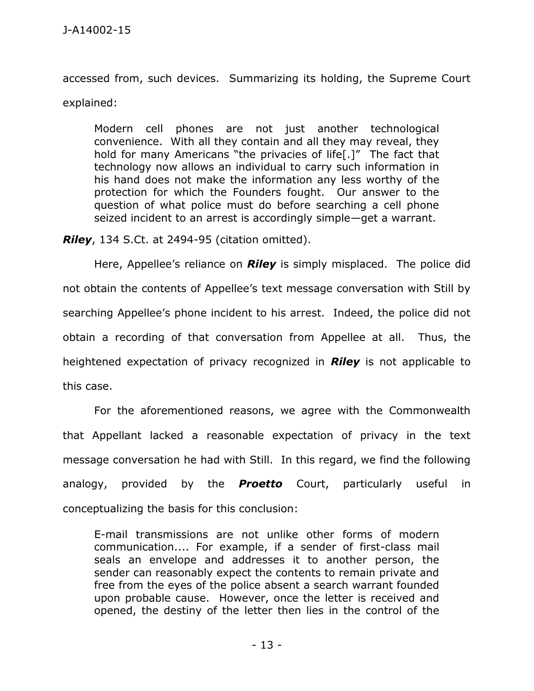accessed from, such devices. Summarizing its holding, the Supreme Court explained:

Modern cell phones are not just another technological convenience. With all they contain and all they may reveal, they hold for many Americans "the privacies of life[.]" The fact that technology now allows an individual to carry such information in his hand does not make the information any less worthy of the protection for which the Founders fought. Our answer to the question of what police must do before searching a cell phone seized incident to an arrest is accordingly simple—get a warrant.

*Riley*, 134 S.Ct. at 2494-95 (citation omitted).

Here, Appellee's reliance on *Riley* is simply misplaced. The police did not obtain the contents of Appellee's text message conversation with Still by searching Appellee's phone incident to his arrest. Indeed, the police did not obtain a recording of that conversation from Appellee at all. Thus, the heightened expectation of privacy recognized in *Riley* is not applicable to this case.

For the aforementioned reasons, we agree with the Commonwealth that Appellant lacked a reasonable expectation of privacy in the text message conversation he had with Still. In this regard, we find the following analogy, provided by the *Proetto* Court, particularly useful in conceptualizing the basis for this conclusion:

E-mail transmissions are not unlike other forms of modern communication.... For example, if a sender of first-class mail seals an envelope and addresses it to another person, the sender can reasonably expect the contents to remain private and free from the eyes of the police absent a search warrant founded upon probable cause. However, once the letter is received and opened, the destiny of the letter then lies in the control of the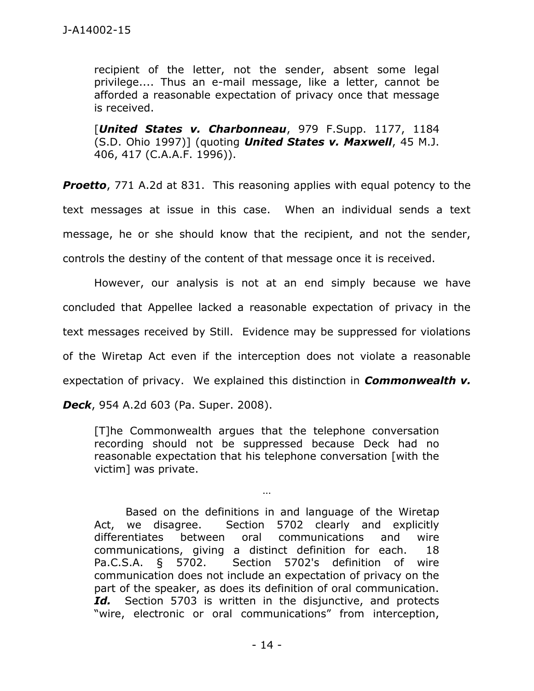recipient of the letter, not the sender, absent some legal privilege.... Thus an e-mail message, like a letter, cannot be afforded a reasonable expectation of privacy once that message is received.

[*United States v. Charbonneau*, 979 F.Supp. 1177, 1184 (S.D. Ohio 1997)] (quoting *United States v. Maxwell*, 45 M.J. 406, 417 (C.A.A.F. 1996)).

**Proetto**, 771 A.2d at 831. This reasoning applies with equal potency to the text messages at issue in this case. When an individual sends a text message, he or she should know that the recipient, and not the sender, controls the destiny of the content of that message once it is received.

However, our analysis is not at an end simply because we have concluded that Appellee lacked a reasonable expectation of privacy in the text messages received by Still. Evidence may be suppressed for violations of the Wiretap Act even if the interception does not violate a reasonable expectation of privacy. We explained this distinction in *Commonwealth v.* 

*Deck*, 954 A.2d 603 (Pa. Super. 2008).

[T]he Commonwealth argues that the telephone conversation recording should not be suppressed because Deck had no reasonable expectation that his telephone conversation [with the victim] was private.

…

Based on the definitions in and language of the Wiretap Act, we disagree. Section 5702 clearly and explicitly differentiates between oral communications and wire communications, giving a distinct definition for each. 18 Pa.C.S.A. § 5702. Section 5702's definition of wire communication does not include an expectation of privacy on the part of the speaker, as does its definition of oral communication. Id. Section 5703 is written in the disjunctive, and protects "wire, electronic or oral communications" from interception,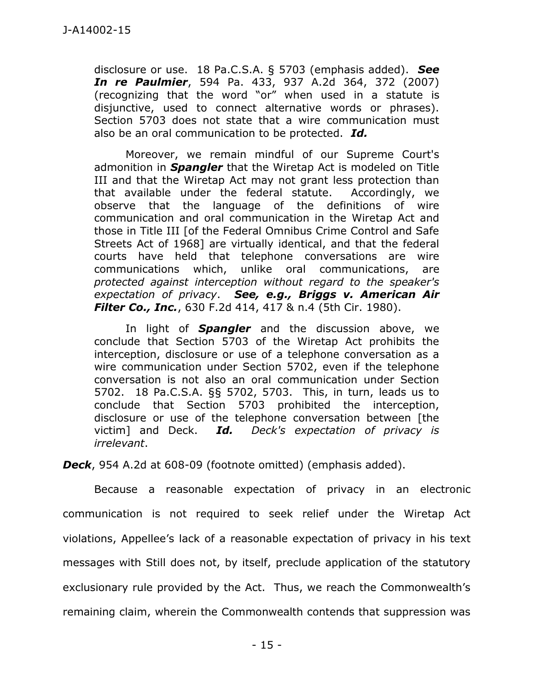disclosure or use. 18 Pa.C.S.A. § 5703 (emphasis added). *See In re Paulmier*, 594 Pa. 433, 937 A.2d 364, 372 (2007) (recognizing that the word "or" when used in a statute is disjunctive, used to connect alternative words or phrases). Section 5703 does not state that a wire communication must also be an oral communication to be protected. *Id.*

Moreover, we remain mindful of our Supreme Court's admonition in *Spangler* that the Wiretap Act is modeled on Title III and that the Wiretap Act may not grant less protection than that available under the federal statute. Accordingly, we observe that the language of the definitions of wire communication and oral communication in the Wiretap Act and those in Title III [of the Federal Omnibus Crime Control and Safe Streets Act of 1968] are virtually identical, and that the federal courts have held that telephone conversations are wire communications which, unlike oral communications, are *protected against interception without regard to the speaker's expectation of privacy*. *See, e.g., Briggs v. American Air Filter Co., Inc.*, 630 F.2d 414, 417 & n.4 (5th Cir. 1980).

In light of *Spangler* and the discussion above, we conclude that Section 5703 of the Wiretap Act prohibits the interception, disclosure or use of a telephone conversation as a wire communication under Section 5702, even if the telephone conversation is not also an oral communication under Section 5702. 18 Pa.C.S.A. §§ 5702, 5703. This, in turn, leads us to conclude that Section 5703 prohibited the interception, disclosure or use of the telephone conversation between [the victim] and Deck. *Id. Deck's expectation of privacy is irrelevant*.

*Deck*, 954 A.2d at 608-09 (footnote omitted) (emphasis added).

Because a reasonable expectation of privacy in an electronic communication is not required to seek relief under the Wiretap Act violations, Appellee's lack of a reasonable expectation of privacy in his text messages with Still does not, by itself, preclude application of the statutory exclusionary rule provided by the Act. Thus, we reach the Commonwealth's remaining claim, wherein the Commonwealth contends that suppression was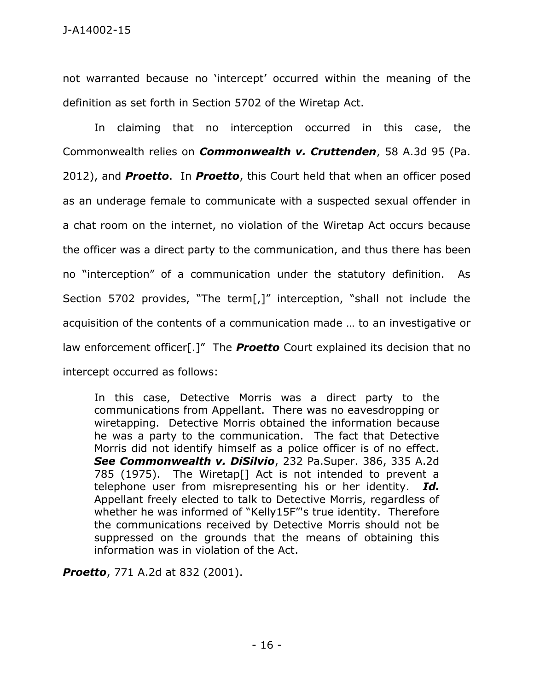not warranted because no 'intercept' occurred within the meaning of the definition as set forth in Section 5702 of the Wiretap Act.

In claiming that no interception occurred in this case, the Commonwealth relies on *Commonwealth v. Cruttenden*, 58 A.3d 95 (Pa. 2012), and *Proetto*. In *Proetto*, this Court held that when an officer posed as an underage female to communicate with a suspected sexual offender in a chat room on the internet, no violation of the Wiretap Act occurs because the officer was a direct party to the communication, and thus there has been no "interception" of a communication under the statutory definition. As Section 5702 provides, "The term[,]" interception, "shall not include the acquisition of the contents of a communication made … to an investigative or law enforcement officer[.]" The *Proetto* Court explained its decision that no intercept occurred as follows:

In this case, Detective Morris was a direct party to the communications from Appellant. There was no eavesdropping or wiretapping. Detective Morris obtained the information because he was a party to the communication. The fact that Detective Morris did not identify himself as a police officer is of no effect. *See Commonwealth v. DiSilvio*, 232 Pa.Super. 386, 335 A.2d 785 (1975). The Wiretap[] Act is not intended to prevent a telephone user from misrepresenting his or her identity. *Id.* Appellant freely elected to talk to Detective Morris, regardless of whether he was informed of "Kelly15F"'s true identity. Therefore the communications received by Detective Morris should not be suppressed on the grounds that the means of obtaining this information was in violation of the Act.

*Proetto*, 771 A.2d at 832 (2001).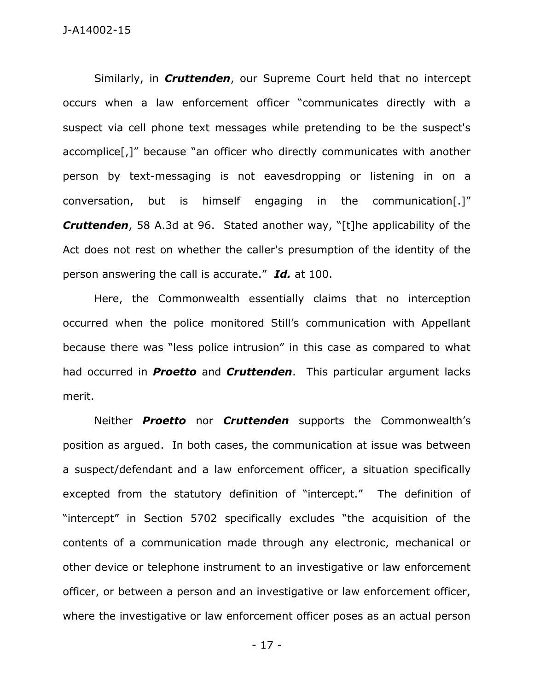Similarly, in *Cruttenden*, our Supreme Court held that no intercept occurs when a law enforcement officer "communicates directly with a suspect via cell phone text messages while pretending to be the suspect's accomplice[,]" because "an officer who directly communicates with another person by text-messaging is not eavesdropping or listening in on a conversation, but is himself engaging in the communication[.]" *Cruttenden*, 58 A.3d at 96. Stated another way, "[t]he applicability of the Act does not rest on whether the caller's presumption of the identity of the person answering the call is accurate." *Id.* at 100.

Here, the Commonwealth essentially claims that no interception occurred when the police monitored Still's communication with Appellant because there was "less police intrusion" in this case as compared to what had occurred in *Proetto* and *Cruttenden*. This particular argument lacks merit.

Neither *Proetto* nor *Cruttenden* supports the Commonwealth's position as argued. In both cases, the communication at issue was between a suspect/defendant and a law enforcement officer, a situation specifically excepted from the statutory definition of "intercept." The definition of "intercept" in Section 5702 specifically excludes "the acquisition of the contents of a communication made through any electronic, mechanical or other device or telephone instrument to an investigative or law enforcement officer, or between a person and an investigative or law enforcement officer, where the investigative or law enforcement officer poses as an actual person

- 17 -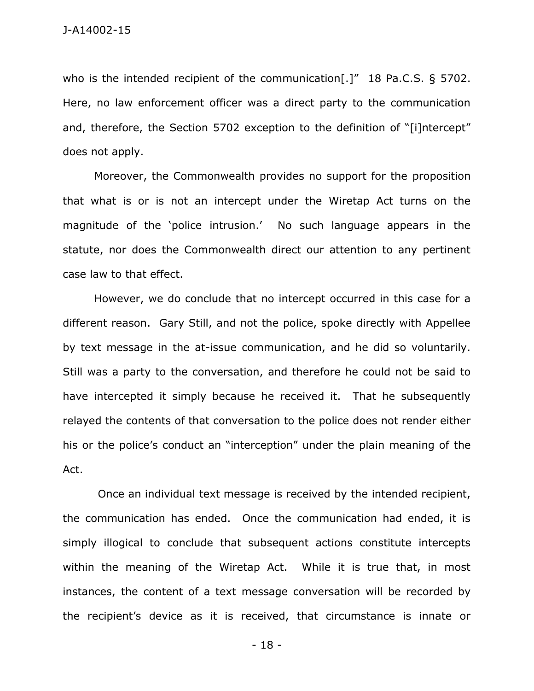who is the intended recipient of the communication[.]" 18 Pa.C.S. § 5702. Here, no law enforcement officer was a direct party to the communication and, therefore, the Section 5702 exception to the definition of "[i]ntercept" does not apply.

Moreover, the Commonwealth provides no support for the proposition that what is or is not an intercept under the Wiretap Act turns on the magnitude of the 'police intrusion.' No such language appears in the statute, nor does the Commonwealth direct our attention to any pertinent case law to that effect.

However, we do conclude that no intercept occurred in this case for a different reason. Gary Still, and not the police, spoke directly with Appellee by text message in the at-issue communication, and he did so voluntarily. Still was a party to the conversation, and therefore he could not be said to have intercepted it simply because he received it. That he subsequently relayed the contents of that conversation to the police does not render either his or the police's conduct an "interception" under the plain meaning of the Act.

Once an individual text message is received by the intended recipient, the communication has ended. Once the communication had ended, it is simply illogical to conclude that subsequent actions constitute intercepts within the meaning of the Wiretap Act. While it is true that, in most instances, the content of a text message conversation will be recorded by the recipient's device as it is received, that circumstance is innate or

- 18 -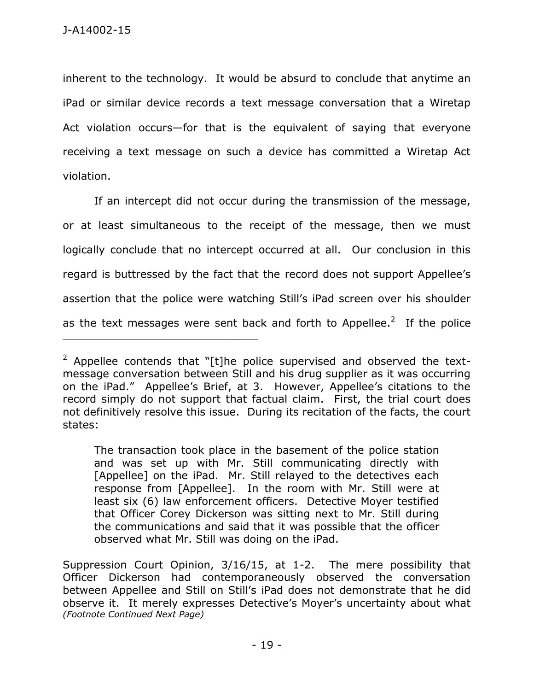inherent to the technology. It would be absurd to conclude that anytime an iPad or similar device records a text message conversation that a Wiretap Act violation occurs—for that is the equivalent of saying that everyone receiving a text message on such a device has committed a Wiretap Act violation.

If an intercept did not occur during the transmission of the message, or at least simultaneous to the receipt of the message, then we must logically conclude that no intercept occurred at all. Our conclusion in this regard is buttressed by the fact that the record does not support Appellee's assertion that the police were watching Still's iPad screen over his shoulder as the text messages were sent back and forth to Appellee.<sup>2</sup> If the police

The transaction took place in the basement of the police station and was set up with Mr. Still communicating directly with [Appellee] on the iPad. Mr. Still relayed to the detectives each response from [Appellee]. In the room with Mr. Still were at least six (6) law enforcement officers. Detective Moyer testified that Officer Corey Dickerson was sitting next to Mr. Still during the communications and said that it was possible that the officer observed what Mr. Still was doing on the iPad.

 $2$  Appellee contends that "[t]he police supervised and observed the textmessage conversation between Still and his drug supplier as it was occurring on the iPad." Appellee's Brief, at 3. However, Appellee's citations to the record simply do not support that factual claim. First, the trial court does not definitively resolve this issue. During its recitation of the facts, the court states:

Suppression Court Opinion, 3/16/15, at 1-2. The mere possibility that Officer Dickerson had contemporaneously observed the conversation between Appellee and Still on Still's iPad does not demonstrate that he did observe it. It merely expresses Detective's Moyer's uncertainty about what *(Footnote Continued Next Page)*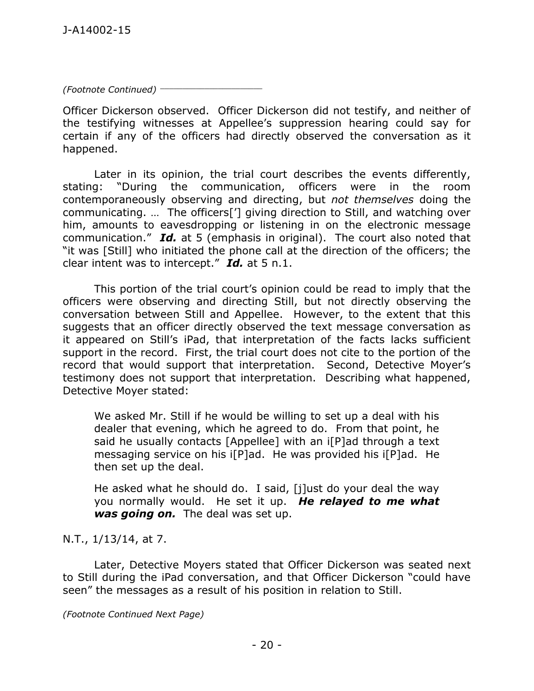*(Footnote Continued)* \_\_\_\_\_\_\_\_\_\_\_\_\_\_\_\_\_\_\_\_\_\_\_

Officer Dickerson observed. Officer Dickerson did not testify, and neither of the testifying witnesses at Appellee's suppression hearing could say for certain if any of the officers had directly observed the conversation as it happened.

Later in its opinion, the trial court describes the events differently, stating: "During the communication, officers were in the room contemporaneously observing and directing, but *not themselves* doing the communicating. … The officers['] giving direction to Still, and watching over him, amounts to eavesdropping or listening in on the electronic message communication." *Id.* at 5 (emphasis in original). The court also noted that "it was [Still] who initiated the phone call at the direction of the officers; the clear intent was to intercept." *Id.* at 5 n.1.

This portion of the trial court's opinion could be read to imply that the officers were observing and directing Still, but not directly observing the conversation between Still and Appellee. However, to the extent that this suggests that an officer directly observed the text message conversation as it appeared on Still's iPad, that interpretation of the facts lacks sufficient support in the record. First, the trial court does not cite to the portion of the record that would support that interpretation. Second, Detective Moyer's testimony does not support that interpretation. Describing what happened, Detective Moyer stated:

We asked Mr. Still if he would be willing to set up a deal with his dealer that evening, which he agreed to do. From that point, he said he usually contacts [Appellee] with an i[P]ad through a text messaging service on his i[P]ad. He was provided his i[P]ad. He then set up the deal.

He asked what he should do. I said, [j]ust do your deal the way you normally would. He set it up. *He relayed to me what was going on.* The deal was set up.

N.T., 1/13/14, at 7.

Later, Detective Moyers stated that Officer Dickerson was seated next to Still during the iPad conversation, and that Officer Dickerson "could have seen" the messages as a result of his position in relation to Still.

*(Footnote Continued Next Page)*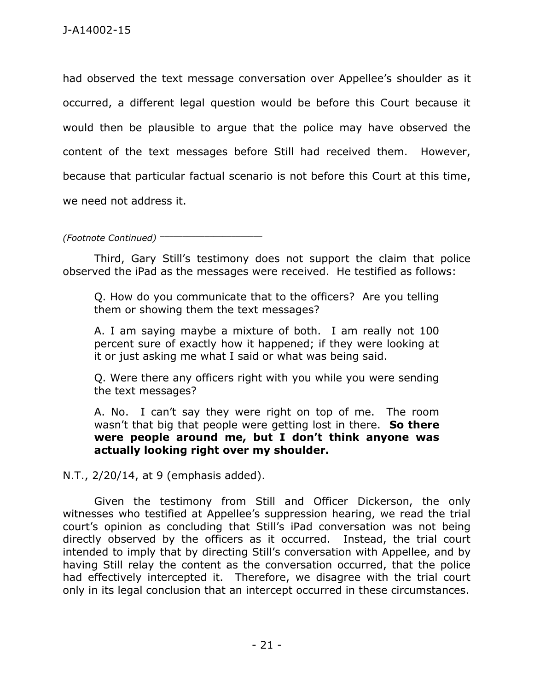had observed the text message conversation over Appellee's shoulder as it occurred, a different legal question would be before this Court because it would then be plausible to argue that the police may have observed the content of the text messages before Still had received them. However, because that particular factual scenario is not before this Court at this time, we need not address it.

*(Footnote Continued)* \_\_\_\_\_\_\_\_\_\_\_\_\_\_\_\_\_\_\_\_\_\_\_

Third, Gary Still's testimony does not support the claim that police observed the iPad as the messages were received. He testified as follows:

Q. How do you communicate that to the officers? Are you telling them or showing them the text messages?

A. I am saying maybe a mixture of both. I am really not 100 percent sure of exactly how it happened; if they were looking at it or just asking me what I said or what was being said.

Q. Were there any officers right with you while you were sending the text messages?

A. No. I can't say they were right on top of me. The room wasn't that big that people were getting lost in there. **So there were people around me, but I don't think anyone was actually looking right over my shoulder.**

N.T., 2/20/14, at 9 (emphasis added).

Given the testimony from Still and Officer Dickerson, the only witnesses who testified at Appellee's suppression hearing, we read the trial court's opinion as concluding that Still's iPad conversation was not being directly observed by the officers as it occurred. Instead, the trial court intended to imply that by directing Still's conversation with Appellee, and by having Still relay the content as the conversation occurred, that the police had effectively intercepted it. Therefore, we disagree with the trial court only in its legal conclusion that an intercept occurred in these circumstances.